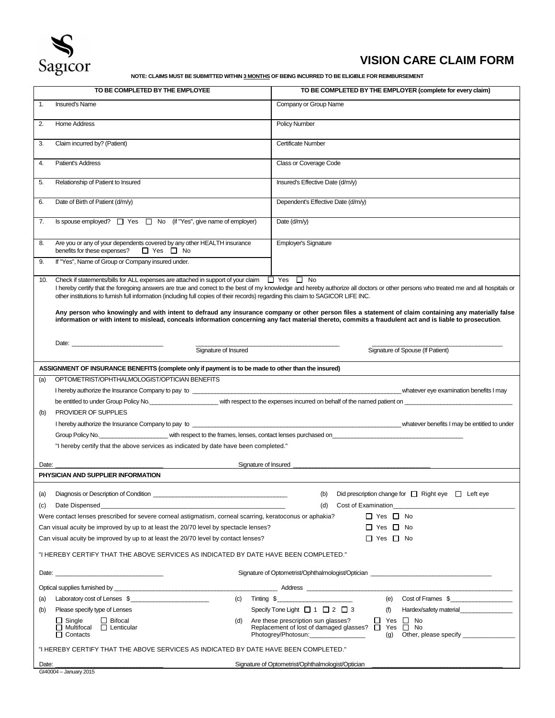

# **VISION CARE CLAIM FORM**

**NOTE: CLAIMS MUST BE SUBMITTED WITHIN 3 MONTHS OF BEING INCURRED TO BE ELIGIBLE FOR REIMBURSEMENT**

| <b>Insured's Name</b><br>Company or Group Name<br>1.<br>2.<br><b>Home Address</b><br><b>Policy Number</b><br>Claim incurred by? (Patient)<br>3.<br>Certificate Number<br>Patient's Address<br>Class or Coverage Code<br>4.<br>Insured's Effective Date (d/m/y)<br>5.<br>Relationship of Patient to Insured<br>Dependent's Effective Date (d/m/y)<br>Date of Birth of Patient (d/m/y)<br>6.<br>Is spouse employed? $\Box$ Yes $\Box$ No (if "Yes", give name of employer)<br>Date (d/m/y)<br>7.<br>Employer's Signature<br>Are you or any of your dependents covered by any other HEALTH insurance<br>8.<br>benefits for these expenses?<br>□ Yes □ No<br>If "Yes", Name of Group or Company insured under.<br>9.<br>Check if statements/bills for ALL expenses are attached in support of your claim $\Box$ Yes $\Box$ No<br>10.<br>I hereby certify that the foregoing answers are true and correct to the best of my knowledge and hereby authorize all doctors or other persons who treated me and all hospitals or<br>other institutions to furnish full information (including full copies of their records) regarding this claim to SAGICOR LIFE INC.<br>Any person who knowingly and with intent to defraud any insurance company or other person files a statement of claim containing any materially false<br>information or with intent to mislead, conceals information concerning any fact material thereto, commits a fraudulent act and is liable to prosecution.<br>Signature of Insured<br>Signature of Spouse (If Patient)<br>ASSIGNMENT OF INSURANCE BENEFITS (complete only if payment is to be made to other than the insured)<br>OPTOMETRIST/OPHTHALMOLOGIST/OPTICIAN BENEFITS<br>(a)<br>be entitled to under Group Policy No. The comparison with respect to the expenses incurred on behalf of the named patient on<br>PROVIDER OF SUPPLIES<br>(b)<br>Group Policy No. Committee that the spect to the frames, lenses, contact lenses purchased on Committee the frames, and the frames, lenses, contact lenses purchased on<br>"I hereby certify that the above services as indicated by date have been completed."<br>Signature of Insured<br>Date:<br>PHYSICIAN AND SUPPLIER INFORMATION<br>Did prescription change for $\Box$ Right eye $\Box$ Left eye<br>(a)<br>(b)<br>Date Dispensed<br>Cost of Examination<br>(d)<br>(c)<br>Were contact lenses prescribed for severe corneal astigmatism, corneal scarring, keratoconus or aphakia?<br>$\Box$ Yes $\Box$ No<br>Can visual acuity be improved by up to at least the 20/70 level by spectacle lenses?<br>$\Box$ Yes $\Box$ No<br>Can visual acuity be improved by up to at least the 20/70 level by contact lenses?<br>$\Box$ Yes $\Box$ No<br>"I HEREBY CERTIFY THAT THE ABOVE SERVICES AS INDICATED BY DATE HAVE BEEN COMPLETED."<br>Signature of Optometrist/Ophthalmologist/Optician ______________________________<br>(e) Cost of Frames $\frac{1}{2}$<br>$Tinting \$$<br>Laboratory cost of Lenses \$<br>(c)<br>(a)<br>Specify Tone Light $\Box$ 1 $\Box$ 2 $\Box$ 3<br>Please specify type of Lenses<br>(f)<br>Hardex/safety material<br>(b)<br>$\Box$ Bifocal<br>$\Box$ Yes $\Box$ No<br>$\Box$ Single<br>Are these prescription sun glasses?<br>(d)<br>Replacement of lost of damaged glasses? □ Yes □ No<br>$\Box$ Multifocal $\Box$ Lenticular<br>Photogrey/Photosun:_________________<br>$\Box$ Contacts<br>"I HEREBY CERTIFY THAT THE ABOVE SERVICES AS INDICATED BY DATE HAVE BEEN COMPLETED."<br>Signature of Optometrist/Ophthalmologist/Optician<br>Date:<br>GI40004 - January 2015 |  | TO BE COMPLETED BY THE EMPLOYEE | TO BE COMPLETED BY THE EMPLOYER (complete for every claim) |  |
|------------------------------------------------------------------------------------------------------------------------------------------------------------------------------------------------------------------------------------------------------------------------------------------------------------------------------------------------------------------------------------------------------------------------------------------------------------------------------------------------------------------------------------------------------------------------------------------------------------------------------------------------------------------------------------------------------------------------------------------------------------------------------------------------------------------------------------------------------------------------------------------------------------------------------------------------------------------------------------------------------------------------------------------------------------------------------------------------------------------------------------------------------------------------------------------------------------------------------------------------------------------------------------------------------------------------------------------------------------------------------------------------------------------------------------------------------------------------------------------------------------------------------------------------------------------------------------------------------------------------------------------------------------------------------------------------------------------------------------------------------------------------------------------------------------------------------------------------------------------------------------------------------------------------------------------------------------------------------------------------------------------------------------------------------------------------------------------------------------------------------------------------------------------------------------------------------------------------------------------------------------------------------------------------------------------------------------------------------------------------------------------------------------------------------------------------------------------------------------------------------------------------------------------------------------------------------------------------------------------------------------------------------------------------------------------------------------------------------------------------------------------------------------------------------------------------------------------------------------------------------------------------------------------------------------------------------------------------------------------------------------------------------------------------------------------------------------------------------------------------------------------------------------------------------------------------------------------------------------------------------------------------------------------------------------------------------------------------------------------------------------------------------------------------------------------------------------------------------------------------------------------------------------------------------------------------------------|--|---------------------------------|------------------------------------------------------------|--|
|                                                                                                                                                                                                                                                                                                                                                                                                                                                                                                                                                                                                                                                                                                                                                                                                                                                                                                                                                                                                                                                                                                                                                                                                                                                                                                                                                                                                                                                                                                                                                                                                                                                                                                                                                                                                                                                                                                                                                                                                                                                                                                                                                                                                                                                                                                                                                                                                                                                                                                                                                                                                                                                                                                                                                                                                                                                                                                                                                                                                                                                                                                                                                                                                                                                                                                                                                                                                                                                                                                                                                                                    |  |                                 |                                                            |  |
|                                                                                                                                                                                                                                                                                                                                                                                                                                                                                                                                                                                                                                                                                                                                                                                                                                                                                                                                                                                                                                                                                                                                                                                                                                                                                                                                                                                                                                                                                                                                                                                                                                                                                                                                                                                                                                                                                                                                                                                                                                                                                                                                                                                                                                                                                                                                                                                                                                                                                                                                                                                                                                                                                                                                                                                                                                                                                                                                                                                                                                                                                                                                                                                                                                                                                                                                                                                                                                                                                                                                                                                    |  |                                 |                                                            |  |
|                                                                                                                                                                                                                                                                                                                                                                                                                                                                                                                                                                                                                                                                                                                                                                                                                                                                                                                                                                                                                                                                                                                                                                                                                                                                                                                                                                                                                                                                                                                                                                                                                                                                                                                                                                                                                                                                                                                                                                                                                                                                                                                                                                                                                                                                                                                                                                                                                                                                                                                                                                                                                                                                                                                                                                                                                                                                                                                                                                                                                                                                                                                                                                                                                                                                                                                                                                                                                                                                                                                                                                                    |  |                                 |                                                            |  |
|                                                                                                                                                                                                                                                                                                                                                                                                                                                                                                                                                                                                                                                                                                                                                                                                                                                                                                                                                                                                                                                                                                                                                                                                                                                                                                                                                                                                                                                                                                                                                                                                                                                                                                                                                                                                                                                                                                                                                                                                                                                                                                                                                                                                                                                                                                                                                                                                                                                                                                                                                                                                                                                                                                                                                                                                                                                                                                                                                                                                                                                                                                                                                                                                                                                                                                                                                                                                                                                                                                                                                                                    |  |                                 |                                                            |  |
|                                                                                                                                                                                                                                                                                                                                                                                                                                                                                                                                                                                                                                                                                                                                                                                                                                                                                                                                                                                                                                                                                                                                                                                                                                                                                                                                                                                                                                                                                                                                                                                                                                                                                                                                                                                                                                                                                                                                                                                                                                                                                                                                                                                                                                                                                                                                                                                                                                                                                                                                                                                                                                                                                                                                                                                                                                                                                                                                                                                                                                                                                                                                                                                                                                                                                                                                                                                                                                                                                                                                                                                    |  |                                 |                                                            |  |
|                                                                                                                                                                                                                                                                                                                                                                                                                                                                                                                                                                                                                                                                                                                                                                                                                                                                                                                                                                                                                                                                                                                                                                                                                                                                                                                                                                                                                                                                                                                                                                                                                                                                                                                                                                                                                                                                                                                                                                                                                                                                                                                                                                                                                                                                                                                                                                                                                                                                                                                                                                                                                                                                                                                                                                                                                                                                                                                                                                                                                                                                                                                                                                                                                                                                                                                                                                                                                                                                                                                                                                                    |  |                                 |                                                            |  |
|                                                                                                                                                                                                                                                                                                                                                                                                                                                                                                                                                                                                                                                                                                                                                                                                                                                                                                                                                                                                                                                                                                                                                                                                                                                                                                                                                                                                                                                                                                                                                                                                                                                                                                                                                                                                                                                                                                                                                                                                                                                                                                                                                                                                                                                                                                                                                                                                                                                                                                                                                                                                                                                                                                                                                                                                                                                                                                                                                                                                                                                                                                                                                                                                                                                                                                                                                                                                                                                                                                                                                                                    |  |                                 |                                                            |  |
|                                                                                                                                                                                                                                                                                                                                                                                                                                                                                                                                                                                                                                                                                                                                                                                                                                                                                                                                                                                                                                                                                                                                                                                                                                                                                                                                                                                                                                                                                                                                                                                                                                                                                                                                                                                                                                                                                                                                                                                                                                                                                                                                                                                                                                                                                                                                                                                                                                                                                                                                                                                                                                                                                                                                                                                                                                                                                                                                                                                                                                                                                                                                                                                                                                                                                                                                                                                                                                                                                                                                                                                    |  |                                 |                                                            |  |
|                                                                                                                                                                                                                                                                                                                                                                                                                                                                                                                                                                                                                                                                                                                                                                                                                                                                                                                                                                                                                                                                                                                                                                                                                                                                                                                                                                                                                                                                                                                                                                                                                                                                                                                                                                                                                                                                                                                                                                                                                                                                                                                                                                                                                                                                                                                                                                                                                                                                                                                                                                                                                                                                                                                                                                                                                                                                                                                                                                                                                                                                                                                                                                                                                                                                                                                                                                                                                                                                                                                                                                                    |  |                                 |                                                            |  |
|                                                                                                                                                                                                                                                                                                                                                                                                                                                                                                                                                                                                                                                                                                                                                                                                                                                                                                                                                                                                                                                                                                                                                                                                                                                                                                                                                                                                                                                                                                                                                                                                                                                                                                                                                                                                                                                                                                                                                                                                                                                                                                                                                                                                                                                                                                                                                                                                                                                                                                                                                                                                                                                                                                                                                                                                                                                                                                                                                                                                                                                                                                                                                                                                                                                                                                                                                                                                                                                                                                                                                                                    |  |                                 |                                                            |  |
|                                                                                                                                                                                                                                                                                                                                                                                                                                                                                                                                                                                                                                                                                                                                                                                                                                                                                                                                                                                                                                                                                                                                                                                                                                                                                                                                                                                                                                                                                                                                                                                                                                                                                                                                                                                                                                                                                                                                                                                                                                                                                                                                                                                                                                                                                                                                                                                                                                                                                                                                                                                                                                                                                                                                                                                                                                                                                                                                                                                                                                                                                                                                                                                                                                                                                                                                                                                                                                                                                                                                                                                    |  |                                 |                                                            |  |
|                                                                                                                                                                                                                                                                                                                                                                                                                                                                                                                                                                                                                                                                                                                                                                                                                                                                                                                                                                                                                                                                                                                                                                                                                                                                                                                                                                                                                                                                                                                                                                                                                                                                                                                                                                                                                                                                                                                                                                                                                                                                                                                                                                                                                                                                                                                                                                                                                                                                                                                                                                                                                                                                                                                                                                                                                                                                                                                                                                                                                                                                                                                                                                                                                                                                                                                                                                                                                                                                                                                                                                                    |  |                                 |                                                            |  |
|                                                                                                                                                                                                                                                                                                                                                                                                                                                                                                                                                                                                                                                                                                                                                                                                                                                                                                                                                                                                                                                                                                                                                                                                                                                                                                                                                                                                                                                                                                                                                                                                                                                                                                                                                                                                                                                                                                                                                                                                                                                                                                                                                                                                                                                                                                                                                                                                                                                                                                                                                                                                                                                                                                                                                                                                                                                                                                                                                                                                                                                                                                                                                                                                                                                                                                                                                                                                                                                                                                                                                                                    |  |                                 |                                                            |  |
|                                                                                                                                                                                                                                                                                                                                                                                                                                                                                                                                                                                                                                                                                                                                                                                                                                                                                                                                                                                                                                                                                                                                                                                                                                                                                                                                                                                                                                                                                                                                                                                                                                                                                                                                                                                                                                                                                                                                                                                                                                                                                                                                                                                                                                                                                                                                                                                                                                                                                                                                                                                                                                                                                                                                                                                                                                                                                                                                                                                                                                                                                                                                                                                                                                                                                                                                                                                                                                                                                                                                                                                    |  |                                 |                                                            |  |
|                                                                                                                                                                                                                                                                                                                                                                                                                                                                                                                                                                                                                                                                                                                                                                                                                                                                                                                                                                                                                                                                                                                                                                                                                                                                                                                                                                                                                                                                                                                                                                                                                                                                                                                                                                                                                                                                                                                                                                                                                                                                                                                                                                                                                                                                                                                                                                                                                                                                                                                                                                                                                                                                                                                                                                                                                                                                                                                                                                                                                                                                                                                                                                                                                                                                                                                                                                                                                                                                                                                                                                                    |  |                                 |                                                            |  |
|                                                                                                                                                                                                                                                                                                                                                                                                                                                                                                                                                                                                                                                                                                                                                                                                                                                                                                                                                                                                                                                                                                                                                                                                                                                                                                                                                                                                                                                                                                                                                                                                                                                                                                                                                                                                                                                                                                                                                                                                                                                                                                                                                                                                                                                                                                                                                                                                                                                                                                                                                                                                                                                                                                                                                                                                                                                                                                                                                                                                                                                                                                                                                                                                                                                                                                                                                                                                                                                                                                                                                                                    |  |                                 |                                                            |  |
|                                                                                                                                                                                                                                                                                                                                                                                                                                                                                                                                                                                                                                                                                                                                                                                                                                                                                                                                                                                                                                                                                                                                                                                                                                                                                                                                                                                                                                                                                                                                                                                                                                                                                                                                                                                                                                                                                                                                                                                                                                                                                                                                                                                                                                                                                                                                                                                                                                                                                                                                                                                                                                                                                                                                                                                                                                                                                                                                                                                                                                                                                                                                                                                                                                                                                                                                                                                                                                                                                                                                                                                    |  |                                 |                                                            |  |
|                                                                                                                                                                                                                                                                                                                                                                                                                                                                                                                                                                                                                                                                                                                                                                                                                                                                                                                                                                                                                                                                                                                                                                                                                                                                                                                                                                                                                                                                                                                                                                                                                                                                                                                                                                                                                                                                                                                                                                                                                                                                                                                                                                                                                                                                                                                                                                                                                                                                                                                                                                                                                                                                                                                                                                                                                                                                                                                                                                                                                                                                                                                                                                                                                                                                                                                                                                                                                                                                                                                                                                                    |  |                                 |                                                            |  |
|                                                                                                                                                                                                                                                                                                                                                                                                                                                                                                                                                                                                                                                                                                                                                                                                                                                                                                                                                                                                                                                                                                                                                                                                                                                                                                                                                                                                                                                                                                                                                                                                                                                                                                                                                                                                                                                                                                                                                                                                                                                                                                                                                                                                                                                                                                                                                                                                                                                                                                                                                                                                                                                                                                                                                                                                                                                                                                                                                                                                                                                                                                                                                                                                                                                                                                                                                                                                                                                                                                                                                                                    |  |                                 |                                                            |  |
|                                                                                                                                                                                                                                                                                                                                                                                                                                                                                                                                                                                                                                                                                                                                                                                                                                                                                                                                                                                                                                                                                                                                                                                                                                                                                                                                                                                                                                                                                                                                                                                                                                                                                                                                                                                                                                                                                                                                                                                                                                                                                                                                                                                                                                                                                                                                                                                                                                                                                                                                                                                                                                                                                                                                                                                                                                                                                                                                                                                                                                                                                                                                                                                                                                                                                                                                                                                                                                                                                                                                                                                    |  |                                 |                                                            |  |
|                                                                                                                                                                                                                                                                                                                                                                                                                                                                                                                                                                                                                                                                                                                                                                                                                                                                                                                                                                                                                                                                                                                                                                                                                                                                                                                                                                                                                                                                                                                                                                                                                                                                                                                                                                                                                                                                                                                                                                                                                                                                                                                                                                                                                                                                                                                                                                                                                                                                                                                                                                                                                                                                                                                                                                                                                                                                                                                                                                                                                                                                                                                                                                                                                                                                                                                                                                                                                                                                                                                                                                                    |  |                                 |                                                            |  |
|                                                                                                                                                                                                                                                                                                                                                                                                                                                                                                                                                                                                                                                                                                                                                                                                                                                                                                                                                                                                                                                                                                                                                                                                                                                                                                                                                                                                                                                                                                                                                                                                                                                                                                                                                                                                                                                                                                                                                                                                                                                                                                                                                                                                                                                                                                                                                                                                                                                                                                                                                                                                                                                                                                                                                                                                                                                                                                                                                                                                                                                                                                                                                                                                                                                                                                                                                                                                                                                                                                                                                                                    |  |                                 |                                                            |  |
|                                                                                                                                                                                                                                                                                                                                                                                                                                                                                                                                                                                                                                                                                                                                                                                                                                                                                                                                                                                                                                                                                                                                                                                                                                                                                                                                                                                                                                                                                                                                                                                                                                                                                                                                                                                                                                                                                                                                                                                                                                                                                                                                                                                                                                                                                                                                                                                                                                                                                                                                                                                                                                                                                                                                                                                                                                                                                                                                                                                                                                                                                                                                                                                                                                                                                                                                                                                                                                                                                                                                                                                    |  |                                 |                                                            |  |
|                                                                                                                                                                                                                                                                                                                                                                                                                                                                                                                                                                                                                                                                                                                                                                                                                                                                                                                                                                                                                                                                                                                                                                                                                                                                                                                                                                                                                                                                                                                                                                                                                                                                                                                                                                                                                                                                                                                                                                                                                                                                                                                                                                                                                                                                                                                                                                                                                                                                                                                                                                                                                                                                                                                                                                                                                                                                                                                                                                                                                                                                                                                                                                                                                                                                                                                                                                                                                                                                                                                                                                                    |  |                                 |                                                            |  |
|                                                                                                                                                                                                                                                                                                                                                                                                                                                                                                                                                                                                                                                                                                                                                                                                                                                                                                                                                                                                                                                                                                                                                                                                                                                                                                                                                                                                                                                                                                                                                                                                                                                                                                                                                                                                                                                                                                                                                                                                                                                                                                                                                                                                                                                                                                                                                                                                                                                                                                                                                                                                                                                                                                                                                                                                                                                                                                                                                                                                                                                                                                                                                                                                                                                                                                                                                                                                                                                                                                                                                                                    |  |                                 |                                                            |  |
|                                                                                                                                                                                                                                                                                                                                                                                                                                                                                                                                                                                                                                                                                                                                                                                                                                                                                                                                                                                                                                                                                                                                                                                                                                                                                                                                                                                                                                                                                                                                                                                                                                                                                                                                                                                                                                                                                                                                                                                                                                                                                                                                                                                                                                                                                                                                                                                                                                                                                                                                                                                                                                                                                                                                                                                                                                                                                                                                                                                                                                                                                                                                                                                                                                                                                                                                                                                                                                                                                                                                                                                    |  |                                 |                                                            |  |
|                                                                                                                                                                                                                                                                                                                                                                                                                                                                                                                                                                                                                                                                                                                                                                                                                                                                                                                                                                                                                                                                                                                                                                                                                                                                                                                                                                                                                                                                                                                                                                                                                                                                                                                                                                                                                                                                                                                                                                                                                                                                                                                                                                                                                                                                                                                                                                                                                                                                                                                                                                                                                                                                                                                                                                                                                                                                                                                                                                                                                                                                                                                                                                                                                                                                                                                                                                                                                                                                                                                                                                                    |  |                                 |                                                            |  |
|                                                                                                                                                                                                                                                                                                                                                                                                                                                                                                                                                                                                                                                                                                                                                                                                                                                                                                                                                                                                                                                                                                                                                                                                                                                                                                                                                                                                                                                                                                                                                                                                                                                                                                                                                                                                                                                                                                                                                                                                                                                                                                                                                                                                                                                                                                                                                                                                                                                                                                                                                                                                                                                                                                                                                                                                                                                                                                                                                                                                                                                                                                                                                                                                                                                                                                                                                                                                                                                                                                                                                                                    |  |                                 |                                                            |  |
|                                                                                                                                                                                                                                                                                                                                                                                                                                                                                                                                                                                                                                                                                                                                                                                                                                                                                                                                                                                                                                                                                                                                                                                                                                                                                                                                                                                                                                                                                                                                                                                                                                                                                                                                                                                                                                                                                                                                                                                                                                                                                                                                                                                                                                                                                                                                                                                                                                                                                                                                                                                                                                                                                                                                                                                                                                                                                                                                                                                                                                                                                                                                                                                                                                                                                                                                                                                                                                                                                                                                                                                    |  |                                 |                                                            |  |
|                                                                                                                                                                                                                                                                                                                                                                                                                                                                                                                                                                                                                                                                                                                                                                                                                                                                                                                                                                                                                                                                                                                                                                                                                                                                                                                                                                                                                                                                                                                                                                                                                                                                                                                                                                                                                                                                                                                                                                                                                                                                                                                                                                                                                                                                                                                                                                                                                                                                                                                                                                                                                                                                                                                                                                                                                                                                                                                                                                                                                                                                                                                                                                                                                                                                                                                                                                                                                                                                                                                                                                                    |  |                                 |                                                            |  |
|                                                                                                                                                                                                                                                                                                                                                                                                                                                                                                                                                                                                                                                                                                                                                                                                                                                                                                                                                                                                                                                                                                                                                                                                                                                                                                                                                                                                                                                                                                                                                                                                                                                                                                                                                                                                                                                                                                                                                                                                                                                                                                                                                                                                                                                                                                                                                                                                                                                                                                                                                                                                                                                                                                                                                                                                                                                                                                                                                                                                                                                                                                                                                                                                                                                                                                                                                                                                                                                                                                                                                                                    |  |                                 |                                                            |  |
|                                                                                                                                                                                                                                                                                                                                                                                                                                                                                                                                                                                                                                                                                                                                                                                                                                                                                                                                                                                                                                                                                                                                                                                                                                                                                                                                                                                                                                                                                                                                                                                                                                                                                                                                                                                                                                                                                                                                                                                                                                                                                                                                                                                                                                                                                                                                                                                                                                                                                                                                                                                                                                                                                                                                                                                                                                                                                                                                                                                                                                                                                                                                                                                                                                                                                                                                                                                                                                                                                                                                                                                    |  |                                 |                                                            |  |
|                                                                                                                                                                                                                                                                                                                                                                                                                                                                                                                                                                                                                                                                                                                                                                                                                                                                                                                                                                                                                                                                                                                                                                                                                                                                                                                                                                                                                                                                                                                                                                                                                                                                                                                                                                                                                                                                                                                                                                                                                                                                                                                                                                                                                                                                                                                                                                                                                                                                                                                                                                                                                                                                                                                                                                                                                                                                                                                                                                                                                                                                                                                                                                                                                                                                                                                                                                                                                                                                                                                                                                                    |  |                                 |                                                            |  |
|                                                                                                                                                                                                                                                                                                                                                                                                                                                                                                                                                                                                                                                                                                                                                                                                                                                                                                                                                                                                                                                                                                                                                                                                                                                                                                                                                                                                                                                                                                                                                                                                                                                                                                                                                                                                                                                                                                                                                                                                                                                                                                                                                                                                                                                                                                                                                                                                                                                                                                                                                                                                                                                                                                                                                                                                                                                                                                                                                                                                                                                                                                                                                                                                                                                                                                                                                                                                                                                                                                                                                                                    |  |                                 |                                                            |  |
|                                                                                                                                                                                                                                                                                                                                                                                                                                                                                                                                                                                                                                                                                                                                                                                                                                                                                                                                                                                                                                                                                                                                                                                                                                                                                                                                                                                                                                                                                                                                                                                                                                                                                                                                                                                                                                                                                                                                                                                                                                                                                                                                                                                                                                                                                                                                                                                                                                                                                                                                                                                                                                                                                                                                                                                                                                                                                                                                                                                                                                                                                                                                                                                                                                                                                                                                                                                                                                                                                                                                                                                    |  |                                 |                                                            |  |
|                                                                                                                                                                                                                                                                                                                                                                                                                                                                                                                                                                                                                                                                                                                                                                                                                                                                                                                                                                                                                                                                                                                                                                                                                                                                                                                                                                                                                                                                                                                                                                                                                                                                                                                                                                                                                                                                                                                                                                                                                                                                                                                                                                                                                                                                                                                                                                                                                                                                                                                                                                                                                                                                                                                                                                                                                                                                                                                                                                                                                                                                                                                                                                                                                                                                                                                                                                                                                                                                                                                                                                                    |  |                                 |                                                            |  |